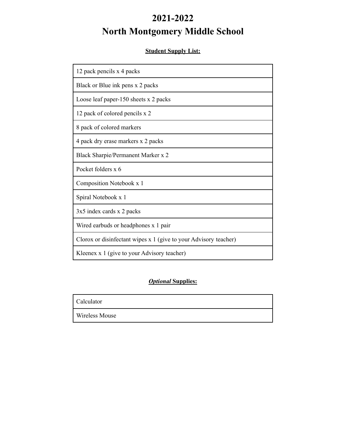# **2021-2022 North Montgomery Middle School**

# **Student Supply List:**

| 12 pack pencils x 4 packs                                        |
|------------------------------------------------------------------|
| Black or Blue ink pens x 2 packs                                 |
| Loose leaf paper-150 sheets x 2 packs                            |
| 12 pack of colored pencils x 2                                   |
| 8 pack of colored markers                                        |
| 4 pack dry erase markers x 2 packs                               |
| Black Sharpie/Permanent Marker x 2                               |
| Pocket folders x 6                                               |
| Composition Notebook x 1                                         |
| Spiral Notebook x 1                                              |
| 3x5 index cards x 2 packs                                        |
| Wired earbuds or headphones x 1 pair                             |
| Clorox or disinfectant wipes x 1 (give to your Advisory teacher) |
| Kleenex x 1 (give to your Advisory teacher)                      |

# *Optional* **Supplies:**

Calculator

Wireless Mouse